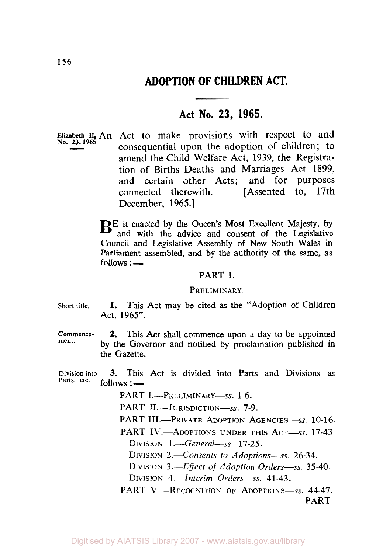# **ADOPTION OF CHILDREN ACT.**

## **Act No. 23, 1965.**

Elizabeth II, An Act to make provisions with respect to and No. 23, 1965 consequential upon the adoption of children; to amend the Child Welfare Act, 1939, the Registration of Births Deaths and Marriages Act 1899, and certain other Acts; and for purposes connected therewith. [Assented to, 17th December, 1965.]

> BE it enacted by the Queen's Most Excellent Majesty, by and with the advice and consent of the Legislative Council and Legislative Assembly of New South Wales in Parliament assembled, and by the authority of the *same,* as **follows** :

#### PART I.

#### PRELIMINARY.

- **Short title. 1.** This Act may be cited as the "Adoption of Children Act, *1965".*
- **Commencement. 2.** This **Act** shall commence upon a day to be appointed by the Governor and notified by proclamation published in the Gazette.

Division into **3.** This Act is divided into Parts and Divisions as Parts, etc. follows: follows : —

PART I.-PRELIMINARY-ss. 1-6.

PART II.-JURISDICTION-SS. 7-9.

PART III.-PRIVATE ADOPTION AGENCIES-ss. 10-16.

PART IV.-ADOPTIONS UNDER THIS ACT-SS. 17-43. DIVISION *1.-General-ss. 17-25.* 

DIVISION 2.—Consents to Adoptions—ss. 26-34.

DIVISION 3.-*Effect of Adoption Orders*-ss. 35-40.

DIVISION 4.-*Interim Orders*-ss. 41-43.

PART V-RECOGNITION OF ADOPTIONS-SS. 44-47. PART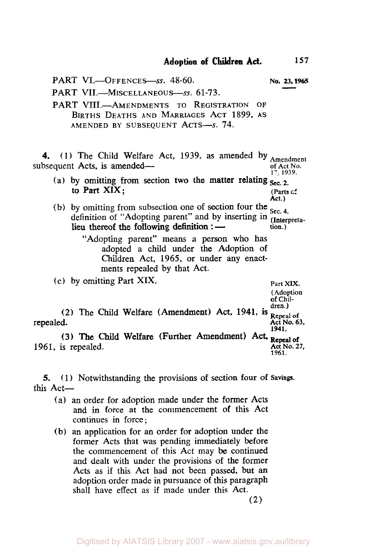PART VI.-OFFENCES-SS. **48-60. No. 23, 1965** 

PART VII.-MISCELLANEOUS-ss. 61-73.

PART VIII.-AMENDMENTS TO REGISTRATION OF BIRTHS DEATHS AND MARRIAGES ACT 1899, AS AMENDED BY SUBSEQUENT ACTS-S. 74.

**4.** (1) The Child Welfare Act, 1939, as amended by Amendment subsequent Acts, is amendedof Act No.<br>17, 1939.

- to Part  $XIX$ ; (Parts  $c^c$ (a) by omitting from section two the matter relating  $S_{\text{sec, 2}}$ .
- (b) by omitting from subsection one of section four the <sub>Sec. 4</sub>. definition of "Adopting parent" and by inserting in *(Interpreta***tion.)**  lieu thereof the following definition :

"Adopting parent" means a person who has adopted a child under the Adoption of Children Act, 1965, or under any enactments repealed by that Act.

(c) by omitting Part XIX. **Part XIX.** 

(Adoption **of Chil**dren.) (2) The Child Welfare (Amendment) Act, 1941, is **Repeal of** repealed. Act No. **63, 1941.** 

**Act.)** 

**(3)** The Child Welfare (Further Amendment) Act, 1961, is repealed. **Act No. 27**, **1961.** 

**5.** (1) Notwithstanding the provisions of section four of **Savings.**  this Act-

- (a) an order for adoption made under the former Acts and in force at the commencement **of** this Act continues in force;
- (b) an application for an order for adoption under the former Acts that was pending immediately before the commencement of this Act may be continued and dealt with under the provisions of the former Acts as if this Act had not been passed, but an adoption order made in pursuance of this paragraph shall have effect **as** if made under this Act.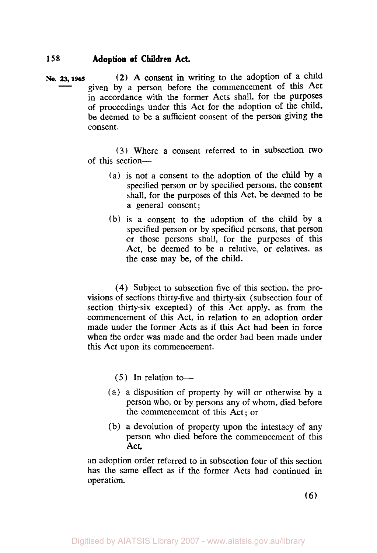**No. 23, 1965 (2)** A consent in writing to the adoption of a child given by a person before the commencement of this Act in accordance with the former Acts shall, for the purposes of proceedings under this Act for the adoption of the child. be deemed to be a sufficient consent of the person giving the consent.

> **(3)** Where a consent referred to in subsection two of this section-

- (a) is not a consent to the adoption of the child by **a**  specified person or by specified persons, the consent shall, for the purposes of this Act, be deemed to be **a** general consent;
- (b) is a consent to the adoption of the child by **a**  specified person or by specified persons, that person or those persons shall, for the purposes of this Act, be deemed to be a relative, or relatives, **as**  the case may be, of the child.

**(4)** Subject to subsection five of this section, the provisions of sections thirty-five and thirty-six (subsection four of section thirty-six excepted) of this Act apply, as from the commencement of this Act, in relation to an adoption order made under the former Acts **as** if this Act had been in force when the order was made and the order had been made under this Act upon its commencement.

## (5) In relation to-

- (a) a disposition of property by will or otherwise by a person who, or by persons any of whom, died before the commencement of this Act; or
- (b) a devolution of property upon the intestacy of any person who died before the commencement of this Act,

an adoption order referred to in subsection four of this section has the same effect **as** if the former Acts had continued in operation.

*(6)*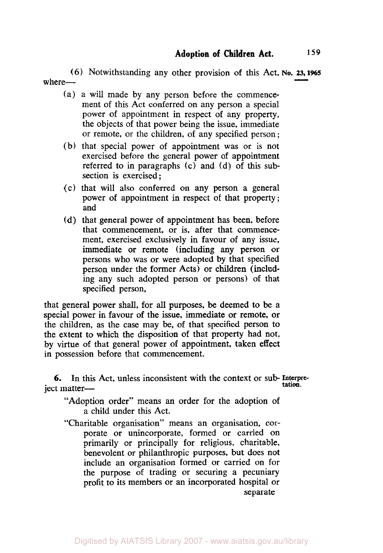*(6)* Notwithstanding any other provision of this Act, **NO.** *23,* **<sup>1965</sup>** where-

- (a) a will made by any person before the commencement of this Act conferred on any person a special power of appointment in respect of any property, the objects of that power being the issue, immediate or remote, or the children, of any specified person ;
- (b) that special power of appointment was or is not exercised before the general power of appointment referred to in paragraphs (c) and (d) of this subsection is exercised ;
- (c) that will also conferred on any person a general power of appointment in respect of that property ; and
- (d) that general power of appointment has been, before that commencement, or is, after that commencement, exercised exclusively in favour of any issue. immediate or remote (including any person or persons who was or were adopted by that specified person under the former Acts) or children (including any such adopted person or persons) of that specified person,

that general power shall, for all purposes, be deemed to be a special power in favour of the issue, immediate or remote, or the children, as the case may be, of that specified person to the extent to which the disposition of that property had not, by virtue of that general power of appointment, taken effect in possession before that commencement.

*6.* In this Act, unless inconsistent with the context or sub- Interpretation.<br>ject matter-

"Adoption order" means an order for the adoption of a child under this Act.

"Charitable organisation" means an organisation, corporate or unincorporate, formed or carried on primarily or principally for religious, charitable, benevolent or philanthropic purposes, but does not include an organisation formed or carried on for the purpose of trading or securing a pecuniary profit to its members or an incorporated hospital or separate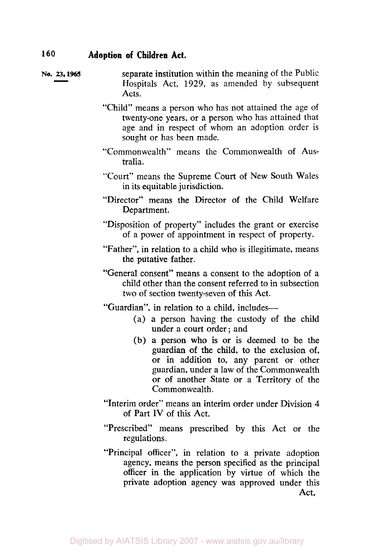- No. 23, 1965 **Separate institution within the meaning of the Public** Hospitals Act, 1929, as amended by subsequent Acts.
	- "Child" means a person who has not attained the age of twenty-one years, or a person who has attained that age and in respect of whom an adoption order is sought or has been made.
	- "Commonwealth" means the Commonwealth of Australia.
	- "Court" means the Supreme Court of New South Wales in its equitable jurisdiction.
	- "Director" means the Director **of** the Child Welfare Department.
	- "Disposition of property" includes the grant or exercise of a power of appointment in respect of property.
	- "Father", in relation to a child who is illegitimate, means the putative father.
	- "General consent" means a consent to the adoption of a child other than the consent referred to in subsection two of section twenty-seven of this Act.

"Guardian", in relation to a child, includes-

- (a) a person having the custody of the child under a court order ; and
- **(b) a** person who is or is deemed to be the guardian **of** the child, to the exclusion of, or in addition to, any parent or other guardian, under a law of the Commonwealth or of another State or a Territory of the Commonwealth.
- "Interim order" means an interim order under Division **4**  of Part **IV** of this Act.
- "Prescribed" means prescribed by this Act or the regulations.
- "Principal officer", in relation to a private adoption agency, means the person specified **as** the principal officer in the application by virtue of which the private adoption agency was approved under this Act,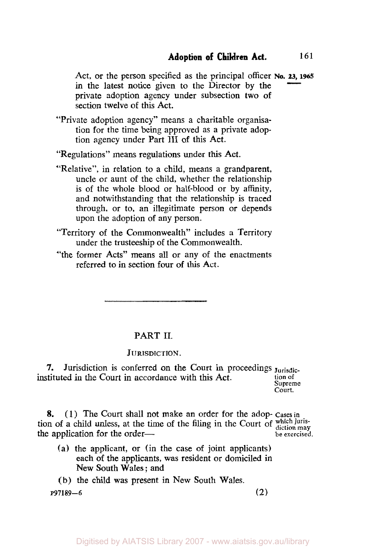Act, or the person specified as the principal officer **No. 23, 1965** in the latest notice given to the Director by the private adoption agency under subsection two of section twelve of this Act.

"Private adoption agency" means a charitable organisation for the time being approved as a private adoption agency under Part III **of** this Act.

"Regulations" means regulations under this Act.

- "Relative", in relation to a child, means a grandparent, uncle or aunt of the child, whether the relationship is of the whole blood or half-blood or by affinity, and notwithstanding that the relationship is traced through, or to, an illegitimate person or depends upon the adoption of any person.
- "Territory **of** the Commonwealth" includes a Territory under the trusteeship of the Commonwealth.
- "the former Acts" means **all** or any of the enactments referred to in section four of this Act.

## PART II.

#### **JURISDICTION.**

*7.* Jurisdiction is conferred on the Court in proceedings **Jurisdic**instituted in the Court in accordance with this Act. tion of **Supreme**  Court.

**8.** ( **1** ) The Court shall not make an order for the adop- **Cases** in tion of a child unless, at the time of the filing in the Court of which juristhe application for the order— **be exercised**.

- (a) the applicant, or (in the case of joint applicants) each of the applicants, was resident or domiciled in New South Wales ; and
- (b) the child was present in New South Wales. **P97189-6 (2)**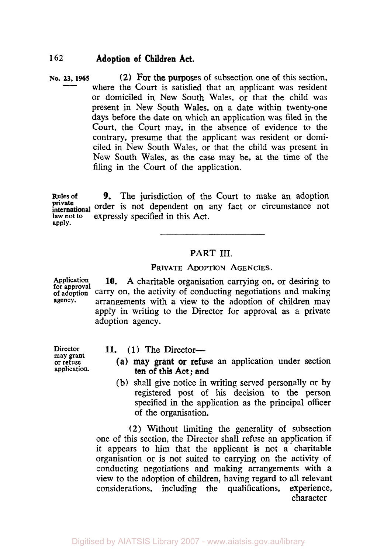**(2) For the purposes of subsection one of this section.** where the Court is satisfied that an applicant was resident or domiciled in New South Wales, or that the child was present in New South Wales, on a date within twenty-one days before the date on which an application was filed in the Court, the Court may, in the absence of evidence to the contrary, presume that the applicant was resident or domiciled in New South Wales, or that the child was present in New South Wales, as the case may be, at the time of the filing in the Court of the application. No. 23, 1965

**Rules of**  private order is not dependent on any fact or circumstance not **law not to apply.**  *9.* The jurisdiction of the Court to make an adoption expressly specified in this Act.

## PART III.

#### PRIVATE ADOPTION AGENCIES.

Application **10.** A charitable organisation carrying on, or desiring to for approval carry on, the activity of conducting negotiations and making agency. arrangements with a view to the adoption of children may apply in writing to the Director for approval as a private adoption agency.

**may grant or refuse** 

- Director 11. (1) The Director
	- **application.** (a) may grant or refuse an application under section ten of this Act; and
	- (b) shall give notice in writing served personally or by registered post of his decision to the person specified in the application as the principal officer of the organisation.

**(2)** Without limiting the generality **of** subsection one of this section, the Director shall refuse an application if it appears to him that the applicant is not a charitable organisation or is not suited to carrying on the activity of conducting negotiations and making arrangements with a view to the adoption of children, having regard to all relevant considerations, including the qualifications, experience, character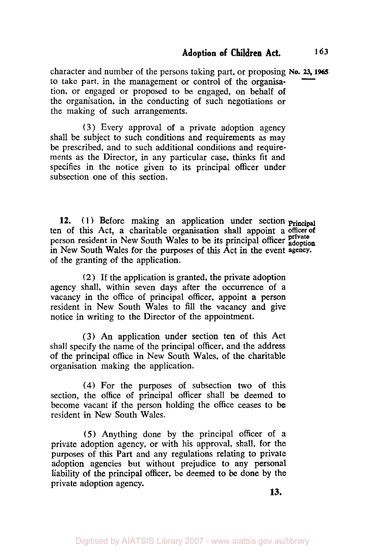character and number of the persons taking part, or proposing **No.** *23,* **<sup>1965</sup>** to take part, **in** the management or control of the organisation, or engaged or proposed to be engaged, on behalf **of**  the organisation, in the conducting **of** such negotiations or the making of such arrangements.

**(3)** Every approval of a private adoption agency shall be subject to such conditions and requirements **as** may be prescribed, and to such additional conditions and requirements as the Director, in any particular case, thinks fit and specifies in the notice given to its principal officer under subsection one of this section.

**12. (1)** Before making an application under section **Principal**  ten **of** this Act, a charitable organisation shall appoint a **officer of private** person resident in New South Wales to be **its** principal officer **adoption**  in New South Wales for the purposes of this Act in the event **agency.**  of the granting of the application.

(2) If the application is granted, the private adoption agency shall, within seven days after the occurrence of a vacancy in the office of principal officer, appoint a person resident in New South Wales to fill the vacancy and give notice in writing to the Director of the appointment.

**(3)** An application under section ten **of** this Act shall specify the name of the principal officer, and the address **of** the principal office in New South Wales, **of** the charitable organisation making the application.

**(4)** For the purposes **of** subsection two of this section, the office of principal officer shall be deemed to become vacant if the person holding the office ceases to be resident in New South Wales.

*(5)* Anything done by the principal officer of *8*  private adoption agency, or with his approval, shall, for the purposes of this Part and any regulations relating to private adoption agencies but without prejudice to any personal liability **of** the principal officer, be deemed to be done by the private adoption agency.

**13.**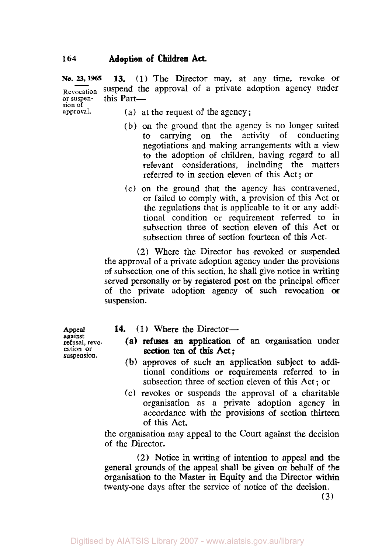**No. 25, 1966 13. (1)** The Director may, at any time, revoke or **Revocation** suspend the approval of a private adoption agency under or **suspen-** this Part**sion of** 

- (a) at the request of the agency;
	- (b) *on* the ground that the agency is no longer suited to carrying on the activity of conducting negotiations and making arrangements with a view to the adoption of children, having regard to all relevant considerations, including the matters referred to in section eleven of this Act; or
	- (c) on the ground that the agency has contravened, or failed to comply with, a provision of this Act or the regulations that is applicable to it or any additional condition or requirement referred to in subsection three **of** section eleven of this **Act or**  subsection three of section fourteen of this Act.

(2) Where the Director has revoked or suspended the approvaI of a private adoption agency under the provisions of subsection one of this section, he shall give notice in writing served personally or by registered **post** on the principal officer of the private adoption agency **of** such revocation or suspension.

**against refusal, revo-** cation **or suspension.** 

- **Appeal 14.** (1) Where the Director-
	- (a) **refuses** an application *of* **an** organisation under **section** ten **of this Act;**
	- **(b)** approves **of** such an application subject to additional conditions or requirements referred to in subsection three of section eleven of this Act ; or
	- (c) revokes or suspends the approval of a charitable organisation as a private adoption agency in accordance with the provisions of section thirteen of this Act,

the organisation may appeal to the Court against the decision of the Director.

(2) Notice in writing **of** intention to appeal and the general grounds of the appeal shall be given on behalf of the organisation to the Master in Equity **and** the Director within twenty-one days after the service **of** notice of the decision.

**(3)**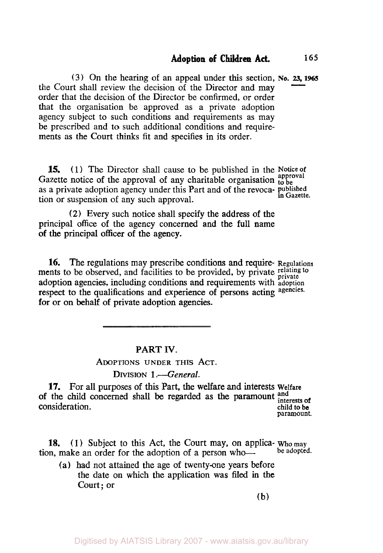**(3)** On the hearing **of** an appeal under **this** section, **NO.** *23,* **196s**  the Court shall review the decision **of** the Director and may order that the decision of the Director be confirmed, or order that the organisation be approved as a private adoption agency subject to such conditions and requirements as may be prescribed and to such additional conditions and requirements as the Court thinks fit and specifies in its order.

**15.** (1) The Director shall cause to be published in the **Notice** of Gazette notice of the approval of any charitable organisation to be as a private adoption agency under this Part and of the revoca- **published** in **Gazette.** tion or suspension **of** any such approval.

**(2)** Every such notice shall specify the address **of** the principal **office** of the agency concerned and the full name **of** the principal officer of the agency.

**16.** The regulations may prescribe conditions and require- **Regulations**  ments to be observed, and facilities to be provided, by private *relating to private*  adoption agencies, including conditions and requirements with **adoption**  respect to the qualifications and experience of persons acting **agencies.**  for **or** on behalf of private adoption agencies.

#### **PART IV.**

#### **ADOPTIONS** UNDER **THIS ACT.**

#### DIVISION 1<sup>-</sup>General.

**17.** For all purposes of **this** Part, the welfare **and** interests **Welfare**  of the child concerned shall be regarded as the paramount and interests of consideration. **consideration**  $\alpha$ **paramount.** 

**18. (1)** Subject to this Act, the Court may, on applica- **who may**  tion, make an order for the adoption of a person who-

(a) had not attained the age **of** twenty-one years before the date on which the application was filed in the Court; or

**(b)**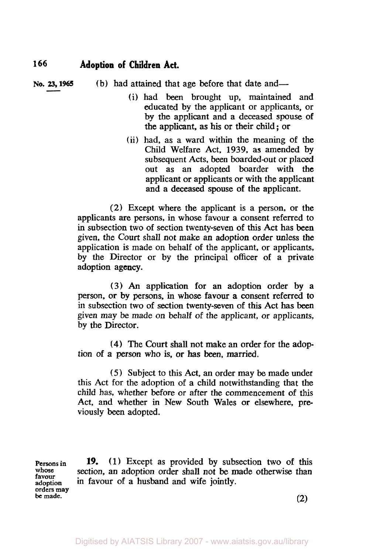**No. 23, 1966** (b) had attained that age before that date and-

- (i) had **been** brought up, maintained and educated by the applicant or applicants, or by the applicant and a deceased spouse of the applicant, as his or their child ; or
- (ii) had, as a ward within the meaning of the Child Welfare Act, 1939, as amended by subsequent Acts, been boarded-out or placed out as an adopted boarder with the applicant or applicants or with the applicant and a deceased spouse of the applicant.

(2) Except where the applicant is a person, or the applicants are persons, in whose favour a consent referred to in subsection two of section twenty-seven of this Act has been given, the Court shall not make an adoption order unless the application is made on behalf of the applicant, or applicants, by the Director or by the principal officer of a private adoption agency.

**(3)** *An* application for an adoption order by a person, or by persons, in whose favour **a** consent referred **to**  in subsection two of section twenty-seven of this Act has **been**  given may be made on behalf of the applicant, or applicants, by the Director.

**(4)** The Court shall not make an order for the adoption of a person who is, or has **been,** married.

*(5)* Subject to this Act, an order may be made under this Act for the adoption of a child notwithstanding that the child has, whether before or after the commencement of this Act, and whether in New South Wales or elsewhere, pre viously **been** adopted.

**Persons in whose favour adoption orders may be made.** 

**19. (1)** Except as provided by subsection two of this section, an adoption order shall not be made otherwise than in favour of a husband and wife jointly.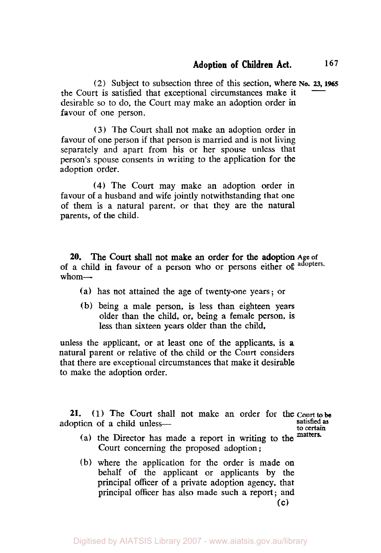*(2)* Subject to subsection three of this section, where **NO.** *23.* **1965**  the Court is satisfied that exceptional circumstances make it desirable *so* to do, the Court may make an adoption order in favour of one person.

**(3)** The Court shall not make an adoption order in favour of one person if that person is married and **is** not living separately and apart from his or her spouse unless that person's spouse consents in writing to the application for the adoption order.

**(4)** The Court may make an adoption order in favour **of** a husband and wife jointly notwithstanding that one of them **is** a natural parent, or that they are the natural parents, of the child.

**20.**  of a child in favour **of** a person who or persons either of whom-The Court shall not make an order for the adoption **Age of** 

- (a) has not attained the age of twenty-one years; or
- (b) being a male person, **is** less than eighteen years older than the child, or, being a female person, **is less** than sixteen years older **than** the child,

unless the applicant, or at least one of the applicants, **is a**  natural parent or relative of the child or the Court considers that there are exceptional circumstances that make it desirable to make the adoption order.

**21. (1)** The Court shall not make an order **for the** court to be adoption of a child unless-

**satisfied as to certain** 

- (a) the Director has made a report in writing to the matters. Court concerning the proposed adoption ;
- (b) where the application for the order is made on behalf of the applicant or applicants by the principal officer of a private adoption agency, that principal officer has also made such a report; and **(c)**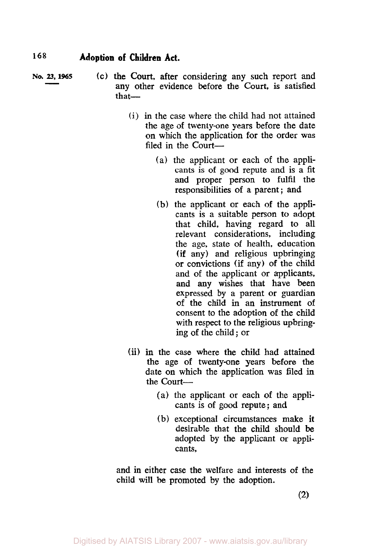- **No. 23, 1965** (c) the Court, after considering any such report and any other evidence before the Court, is satisfied that-
	- (i) in the case where the child had not attained the age **of** twenty-one years before the date on which the application for the order was filed in the Court—
		- (a) the applicant or each **of** the applicants is of good repute and is a fit and proper person to fulfil the responsibilities of **a** parent ; and
		- **(b)** the applicant or each of the applicants is a suitable person to adopt that child, having regard to all relevant considerations, including the age, state **of** health, education (if any) and religious upbringing or convictions (if any) **of** the child and of the applicant or applicants, and any wishes that have been expressed by a parent or guardian of the child in an instrument of consent to the adoption of the child with respect to the religious upbringing of the child ; or
	- (ii) in the case where the child had attained the age **of** twenty-one years before the date on which the application was filed in the Court-
		- **(a)** the applicant or each of the applicants is of good repute; and
		- (b) exceptional circumstances make **it**  desirable that the child should be adopted by the applicant or applicants,

and in either case the welfare and interests of the child will be promoted by the adoption.